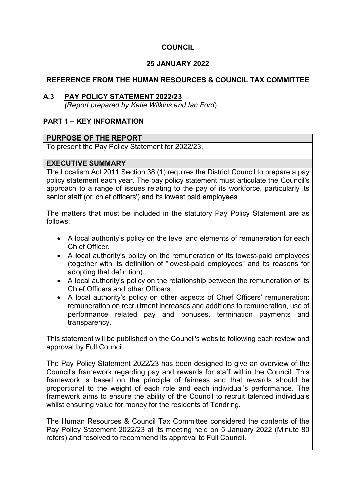## **COUNCIL**

## **25 JANUARY 2022**

### **REFERENCE FROM THE HUMAN RESOURCES & COUNCIL TAX COMMITTEE**

#### **A.3 PAY POLICY STATEMENT 2022/23**

*(Report prepared by Katie Wilkins and Ian Ford*)

## **PART 1 – KEY INFORMATION**

#### **PURPOSE OF THE REPORT**

To present the Pay Policy Statement for 2022/23.

#### **EXECUTIVE SUMMARY**

The Localism Act 2011 Section 38 (1) requires the District Council to prepare a pay policy statement each year. The pay policy statement must articulate the Council's approach to a range of issues relating to the pay of its workforce, particularly its senior staff (or 'chief officers') and its lowest paid employees.

The matters that must be included in the statutory Pay Policy Statement are as follows:

- A local authority's policy on the level and elements of remuneration for each Chief Officer.
- A local authority's policy on the remuneration of its lowest-paid employees (together with its definition of "lowest-paid employees" and its reasons for adopting that definition).
- A local authority's policy on the relationship between the remuneration of its Chief Officers and other Officers.
- A local authority's policy on other aspects of Chief Officers' remuneration: remuneration on recruitment increases and additions to remuneration, use of performance related pay and bonuses, termination payments and transparency.

This statement will be published on the Council's website following each review and approval by Full Council.

The Pay Policy Statement 2022/23 has been designed to give an overview of the Council's framework regarding pay and rewards for staff within the Council. This framework is based on the principle of fairness and that rewards should be proportional to the weight of each role and each individual's performance. The framework aims to ensure the ability of the Council to recruit talented individuals whilst ensuring value for money for the residents of Tendring.

The Human Resources & Council Tax Committee considered the contents of the Pay Policy Statement 2022/23 at its meeting held on 5 January 2022 (Minute 80 refers) and resolved to recommend its approval to Full Council.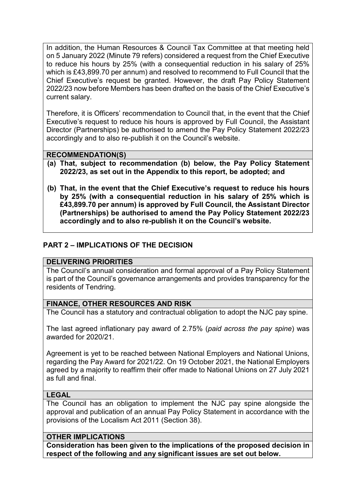In addition, the Human Resources & Council Tax Committee at that meeting held on 5 January 2022 (Minute 79 refers) considered a request from the Chief Executive to reduce his hours by 25% (with a consequential reduction in his salary of 25% which is £43,899.70 per annum) and resolved to recommend to Full Council that the Chief Executive's request be granted. However, the draft Pay Policy Statement 2022/23 now before Members has been drafted on the basis of the Chief Executive's current salary.

Therefore, it is Officers' recommendation to Council that, in the event that the Chief Executive's request to reduce his hours is approved by Full Council, the Assistant Director (Partnerships) be authorised to amend the Pay Policy Statement 2022/23 accordingly and to also re-publish it on the Council's website.

## **RECOMMENDATION(S)**

- **(a) That, subject to recommendation (b) below, the Pay Policy Statement 2022/23, as set out in the Appendix to this report, be adopted; and**
- **(b) That, in the event that the Chief Executive's request to reduce his hours by 25% (with a consequential reduction in his salary of 25% which is £43,899.70 per annum) is approved by Full Council, the Assistant Director (Partnerships) be authorised to amend the Pay Policy Statement 2022/23 accordingly and to also re-publish it on the Council's website.**

## **PART 2 – IMPLICATIONS OF THE DECISION**

#### **DELIVERING PRIORITIES**

The Council's annual consideration and formal approval of a Pay Policy Statement is part of the Council's governance arrangements and provides transparency for the residents of Tendring.

#### **FINANCE, OTHER RESOURCES AND RISK**

The Council has a statutory and contractual obligation to adopt the NJC pay spine.

The last agreed inflationary pay award of 2.75% (*paid across the pay spine*) was awarded for 2020/21.

Agreement is yet to be reached between National Employers and National Unions, regarding the Pay Award for 2021/22. On 19 October 2021, the National Employers agreed by a majority to reaffirm their offer made to National Unions on 27 July 2021 as full and final.

#### **LEGAL**

The Council has an obligation to implement the NJC pay spine alongside the approval and publication of an annual Pay Policy Statement in accordance with the provisions of the Localism Act 2011 (Section 38).

### **OTHER IMPLICATIONS**

**Consideration has been given to the implications of the proposed decision in respect of the following and any significant issues are set out below.**